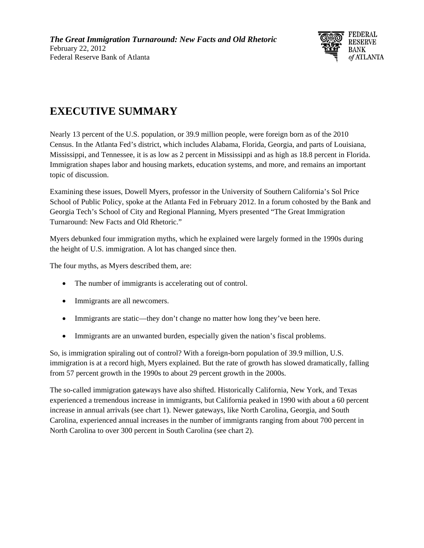

## **EXECUTIVE SUMMARY**

Nearly 13 percent of the U.S. population, or 39.9 million people, were foreign born as of the 2010 Census. In the Atlanta Fed's district, which includes Alabama, Florida, Georgia, and parts of Louisiana, Mississippi, and Tennessee, it is as low as 2 percent in Mississippi and as high as 18.8 percent in Florida. Immigration shapes labor and housing markets, education systems, and more, and remains an important topic of discussion.

Examining these issues, Dowell Myers, professor in the University of Southern California's Sol Price School of Public Policy, spoke at the Atlanta Fed in February 2012. In a forum cohosted by the Bank and Georgia Tech's School of City and Regional Planning, Myers presented "The Great Immigration Turnaround: New Facts and Old Rhetoric."

Myers debunked four immigration myths, which he explained were largely formed in the 1990s during the height of U.S. immigration. A lot has changed since then.

The four myths, as Myers described them, are:

- The number of immigrants is accelerating out of control.
- Immigrants are all newcomers.
- Immigrants are static—they don't change no matter how long they've been here.
- Immigrants are an unwanted burden, especially given the nation's fiscal problems.

So, is immigration spiraling out of control? With a foreign-born population of 39.9 million, U.S. immigration is at a record high, Myers explained. But the rate of growth has slowed dramatically, falling from 57 percent growth in the 1990s to about 29 percent growth in the 2000s.

The so-called immigration gateways have also shifted. Historically California, New York, and Texas experienced a tremendous increase in immigrants, but California peaked in 1990 with about a 60 percent increase in annual arrivals (see chart 1). Newer gateways, like North Carolina, Georgia, and South Carolina, experienced annual increases in the number of immigrants ranging from about 700 percent in North Carolina to over 300 percent in South Carolina (see chart 2).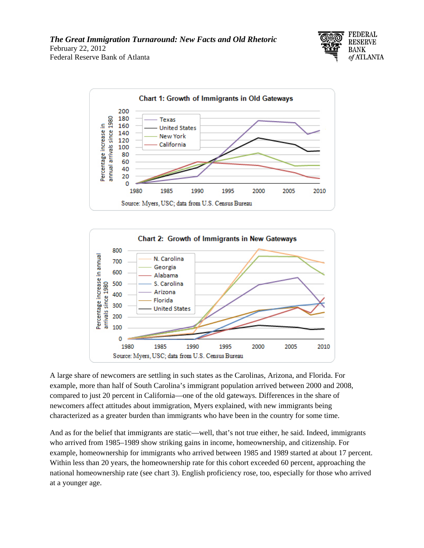





A large share of newcomers are settling in such states as the Carolinas, Arizona, and Florida. For example, more than half of South Carolina's immigrant population arrived between 2000 and 2008, compared to just 20 percent in California—one of the old gateways. Differences in the share of newcomers affect attitudes about immigration, Myers explained, with new immigrants being characterized as a greater burden than immigrants who have been in the country for some time.

And as for the belief that immigrants are static—well, that's not true either, he said. Indeed, immigrants who arrived from 1985–1989 show striking gains in income, homeownership, and citizenship. For example, homeownership for immigrants who arrived between 1985 and 1989 started at about 17 percent. Within less than 20 years, the homeownership rate for this cohort exceeded 60 percent, approaching the national homeownership rate (see chart 3). English proficiency rose, too, especially for those who arrived at a younger age.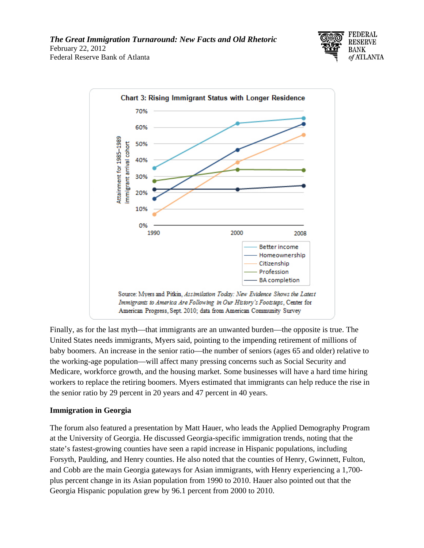



Finally, as for the last myth—that immigrants are an unwanted burden—the opposite is true. The United States needs immigrants, Myers said, pointing to the impending retirement of millions of baby boomers. An increase in the senior ratio—the number of seniors (ages 65 and older) relative to the working-age population—will affect many pressing concerns such as Social Security and Medicare, workforce growth, and the housing market. Some businesses will have a hard time hiring workers to replace the retiring boomers. Myers estimated that immigrants can help reduce the rise in the senior ratio by 29 percent in 20 years and 47 percent in 40 years.

## **Immigration in Georgia**

The forum also featured a presentation by Matt Hauer, who leads the Applied Demography Program at the University of Georgia. He discussed Georgia-specific immigration trends, noting that the state's fastest-growing counties have seen a rapid increase in Hispanic populations, including Forsyth, Paulding, and Henry counties. He also noted that the counties of Henry, Gwinnett, Fulton, and Cobb are the main Georgia gateways for Asian immigrants, with Henry experiencing a 1,700 plus percent change in its Asian population from 1990 to 2010. Hauer also pointed out that the Georgia Hispanic population grew by 96.1 percent from 2000 to 2010.